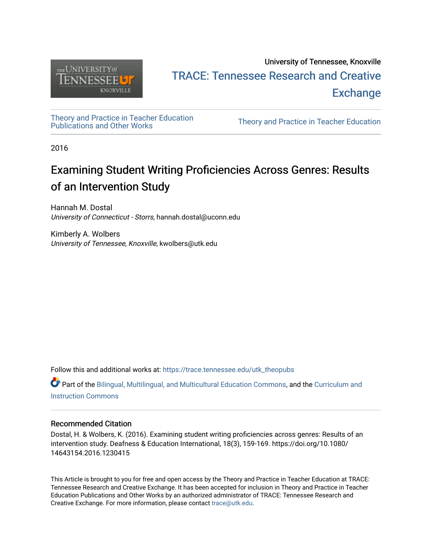

# University of Tennessee, Knoxville TRACE: T[ennessee Research and Cr](https://trace.tennessee.edu/)eative **Exchange**

[Theory and Practice in Teacher Education](https://trace.tennessee.edu/utk_theopubs)

Theory and Practice in Teacher Education

2016

# Examining Student Writing Proficiencies Across Genres: Results of an Intervention Study

Hannah M. Dostal University of Connecticut - Storrs, hannah.dostal@uconn.edu

Kimberly A. Wolbers University of Tennessee, Knoxville, kwolbers@utk.edu

Follow this and additional works at: [https://trace.tennessee.edu/utk\\_theopubs](https://trace.tennessee.edu/utk_theopubs?utm_source=trace.tennessee.edu%2Futk_theopubs%2F19&utm_medium=PDF&utm_campaign=PDFCoverPages)

Part of the [Bilingual, Multilingual, and Multicultural Education Commons,](https://network.bepress.com/hgg/discipline/785?utm_source=trace.tennessee.edu%2Futk_theopubs%2F19&utm_medium=PDF&utm_campaign=PDFCoverPages) and the [Curriculum and](https://network.bepress.com/hgg/discipline/786?utm_source=trace.tennessee.edu%2Futk_theopubs%2F19&utm_medium=PDF&utm_campaign=PDFCoverPages) [Instruction Commons](https://network.bepress.com/hgg/discipline/786?utm_source=trace.tennessee.edu%2Futk_theopubs%2F19&utm_medium=PDF&utm_campaign=PDFCoverPages)

## Recommended Citation

Dostal, H. & Wolbers, K. (2016). Examining student writing proficiencies across genres: Results of an intervention study. Deafness & Education International, 18(3), 159-169. https://doi.org/10.1080/ 14643154.2016.1230415

This Article is brought to you for free and open access by the Theory and Practice in Teacher Education at TRACE: Tennessee Research and Creative Exchange. It has been accepted for inclusion in Theory and Practice in Teacher Education Publications and Other Works by an authorized administrator of TRACE: Tennessee Research and Creative Exchange. For more information, please contact [trace@utk.edu](mailto:trace@utk.edu).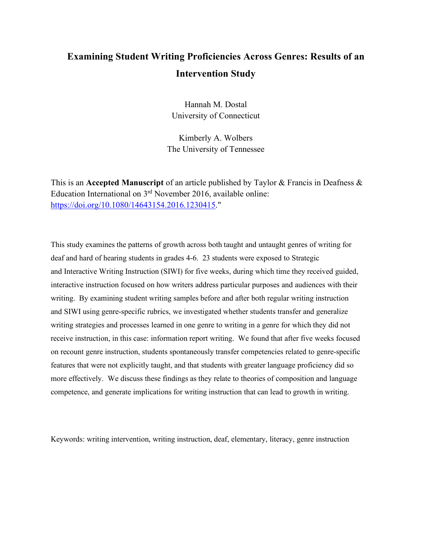## **Examining Student Writing Proficiencies Across Genres: Results of an Intervention Study**

Hannah M. Dostal University of Connecticut

Kimberly A. Wolbers The University of Tennessee

This is an **Accepted Manuscript** of an article published by Taylor & Francis in Deafness & Education International on 3rd November 2016, available online: https://doi.org/10.1080/14643154.2016.1230415."

This study examines the patterns of growth across both taught and untaught genres of writing for deaf and hard of hearing students in grades 4-6. 23 students were exposed to Strategic and Interactive Writing Instruction (SIWI) for five weeks, during which time they received guided, interactive instruction focused on how writers address particular purposes and audiences with their writing. By examining student writing samples before and after both regular writing instruction and SIWI using genre-specific rubrics, we investigated whether students transfer and generalize writing strategies and processes learned in one genre to writing in a genre for which they did not receive instruction, in this case: information report writing. We found that after five weeks focused on recount genre instruction, students spontaneously transfer competencies related to genre-specific features that were not explicitly taught, and that students with greater language proficiency did so more effectively. We discuss these findings as they relate to theories of composition and language competence, and generate implications for writing instruction that can lead to growth in writing.

Keywords: writing intervention, writing instruction, deaf, elementary, literacy, genre instruction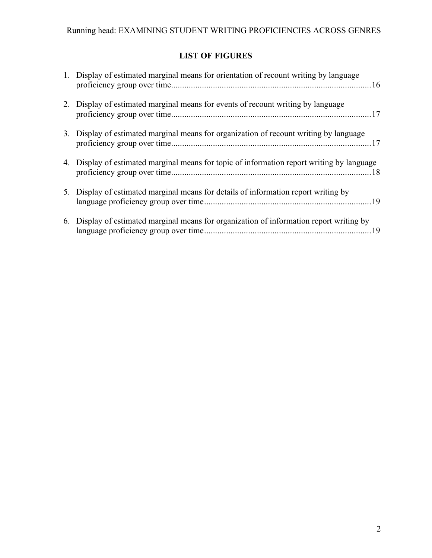## **LIST OF FIGURES**

| 1. Display of estimated marginal means for orientation of recount writing by language      |
|--------------------------------------------------------------------------------------------|
| 2. Display of estimated marginal means for events of recount writing by language           |
| 3. Display of estimated marginal means for organization of recount writing by language     |
| 4. Display of estimated marginal means for topic of information report writing by language |
| 5. Display of estimated marginal means for details of information report writing by        |
| 6. Display of estimated marginal means for organization of information report writing by   |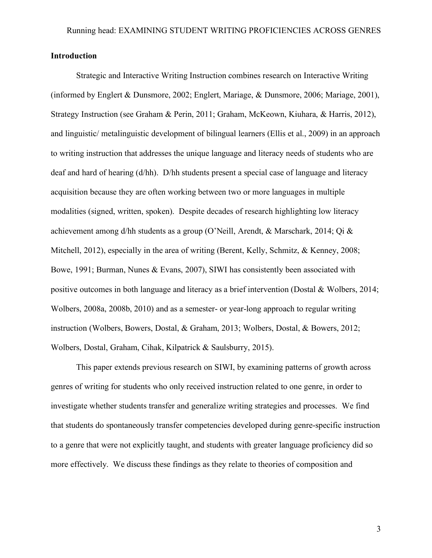## **Introduction**

Strategic and Interactive Writing Instruction combines research on Interactive Writing (informed by Englert & Dunsmore, 2002; Englert, Mariage, & Dunsmore, 2006; Mariage, 2001), Strategy Instruction (see Graham & Perin, 2011; Graham, McKeown, Kiuhara, & Harris, 2012), and linguistic/ metalinguistic development of bilingual learners (Ellis et al., 2009) in an approach to writing instruction that addresses the unique language and literacy needs of students who are deaf and hard of hearing (d/hh). D/hh students present a special case of language and literacy acquisition because they are often working between two or more languages in multiple modalities (signed, written, spoken). Despite decades of research highlighting low literacy achievement among d/hh students as a group (O'Neill, Arendt, & Marschark, 2014; Qi & Mitchell, 2012), especially in the area of writing (Berent, Kelly, Schmitz, & Kenney, 2008; Bowe, 1991; Burman, Nunes & Evans, 2007), SIWI has consistently been associated with positive outcomes in both language and literacy as a brief intervention (Dostal & Wolbers, 2014; Wolbers, 2008a, 2008b, 2010) and as a semester- or year-long approach to regular writing instruction (Wolbers, Bowers, Dostal, & Graham, 2013; Wolbers, Dostal, & Bowers, 2012; Wolbers, Dostal, Graham, Cihak, Kilpatrick & Saulsburry, 2015).

This paper extends previous research on SIWI, by examining patterns of growth across genres of writing for students who only received instruction related to one genre, in order to investigate whether students transfer and generalize writing strategies and processes. We find that students do spontaneously transfer competencies developed during genre-specific instruction to a genre that were not explicitly taught, and students with greater language proficiency did so more effectively. We discuss these findings as they relate to theories of composition and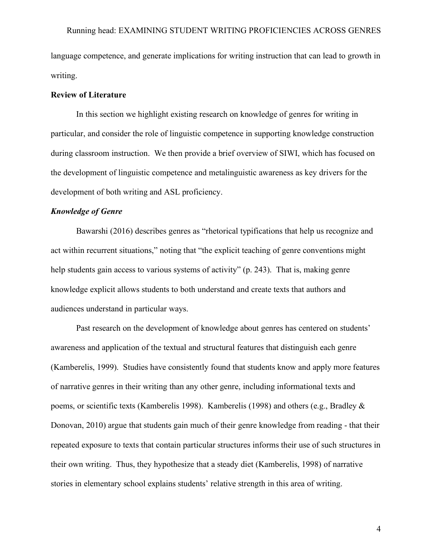language competence, and generate implications for writing instruction that can lead to growth in writing.

## **Review of Literature**

In this section we highlight existing research on knowledge of genres for writing in particular, and consider the role of linguistic competence in supporting knowledge construction during classroom instruction. We then provide a brief overview of SIWI, which has focused on the development of linguistic competence and metalinguistic awareness as key drivers for the development of both writing and ASL proficiency.

## *Knowledge of Genre*

Bawarshi (2016) describes genres as "rhetorical typifications that help us recognize and act within recurrent situations," noting that "the explicit teaching of genre conventions might help students gain access to various systems of activity" (p. 243). That is, making genre knowledge explicit allows students to both understand and create texts that authors and audiences understand in particular ways.

Past research on the development of knowledge about genres has centered on students' awareness and application of the textual and structural features that distinguish each genre (Kamberelis, 1999). Studies have consistently found that students know and apply more features of narrative genres in their writing than any other genre, including informational texts and poems, or scientific texts (Kamberelis 1998). Kamberelis (1998) and others (e.g., Bradley & Donovan, 2010) argue that students gain much of their genre knowledge from reading - that their repeated exposure to texts that contain particular structures informs their use of such structures in their own writing. Thus, they hypothesize that a steady diet (Kamberelis, 1998) of narrative stories in elementary school explains students' relative strength in this area of writing.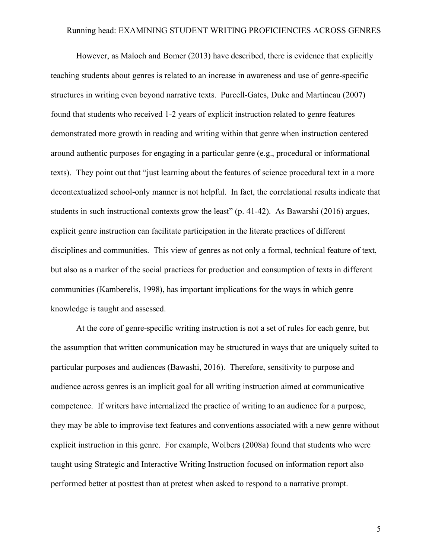However, as Maloch and Bomer (2013) have described, there is evidence that explicitly teaching students about genres is related to an increase in awareness and use of genre-specific structures in writing even beyond narrative texts. Purcell-Gates, Duke and Martineau (2007) found that students who received 1-2 years of explicit instruction related to genre features demonstrated more growth in reading and writing within that genre when instruction centered around authentic purposes for engaging in a particular genre (e.g., procedural or informational texts). They point out that "just learning about the features of science procedural text in a more decontextualized school-only manner is not helpful. In fact, the correlational results indicate that students in such instructional contexts grow the least" (p. 41-42). As Bawarshi (2016) argues, explicit genre instruction can facilitate participation in the literate practices of different disciplines and communities. This view of genres as not only a formal, technical feature of text, but also as a marker of the social practices for production and consumption of texts in different communities (Kamberelis, 1998), has important implications for the ways in which genre knowledge is taught and assessed.

At the core of genre-specific writing instruction is not a set of rules for each genre, but the assumption that written communication may be structured in ways that are uniquely suited to particular purposes and audiences (Bawashi, 2016). Therefore, sensitivity to purpose and audience across genres is an implicit goal for all writing instruction aimed at communicative competence. If writers have internalized the practice of writing to an audience for a purpose, they may be able to improvise text features and conventions associated with a new genre without explicit instruction in this genre. For example, Wolbers (2008a) found that students who were taught using Strategic and Interactive Writing Instruction focused on information report also performed better at posttest than at pretest when asked to respond to a narrative prompt.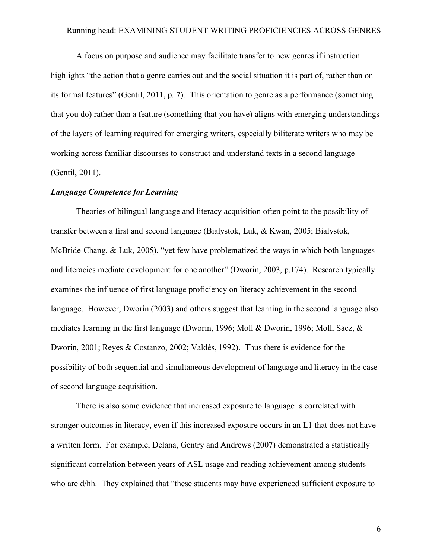A focus on purpose and audience may facilitate transfer to new genres if instruction highlights "the action that a genre carries out and the social situation it is part of, rather than on its formal features" (Gentil, 2011, p. 7). This orientation to genre as a performance (something that you do) rather than a feature (something that you have) aligns with emerging understandings of the layers of learning required for emerging writers, especially biliterate writers who may be working across familiar discourses to construct and understand texts in a second language (Gentil, 2011).

## *Language Competence for Learning*

Theories of bilingual language and literacy acquisition often point to the possibility of transfer between a first and second language (Bialystok, Luk, & Kwan, 2005; Bialystok, McBride-Chang, & Luk, 2005), "yet few have problematized the ways in which both languages and literacies mediate development for one another" (Dworin, 2003, p.174). Research typically examines the influence of first language proficiency on literacy achievement in the second language. However, Dworin (2003) and others suggest that learning in the second language also mediates learning in the first language (Dworin, 1996; Moll & Dworin, 1996; Moll, Sáez, & Dworin, 2001; Reyes & Costanzo, 2002; Valdés, 1992). Thus there is evidence for the possibility of both sequential and simultaneous development of language and literacy in the case of second language acquisition.

There is also some evidence that increased exposure to language is correlated with stronger outcomes in literacy, even if this increased exposure occurs in an L1 that does not have a written form. For example, Delana, Gentry and Andrews (2007) demonstrated a statistically significant correlation between years of ASL usage and reading achievement among students who are d/hh. They explained that "these students may have experienced sufficient exposure to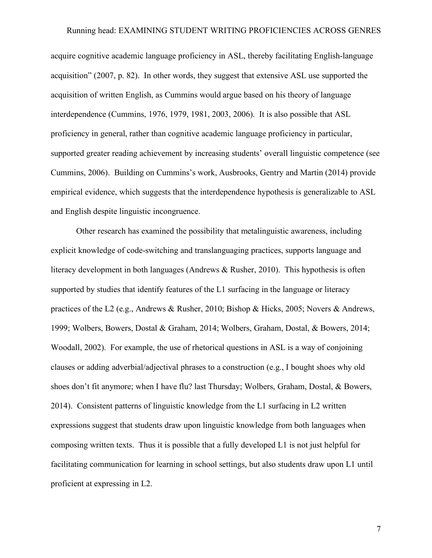acquire cognitive academic language proficiency in ASL, thereby facilitating English-language acquisition" (2007, p. 82). In other words, they suggest that extensive ASL use supported the acquisition of written English, as Cummins would argue based on his theory of language interdependence (Cummins, 1976, 1979, 1981, 2003, 2006). It is also possible that ASL proficiency in general, rather than cognitive academic language proficiency in particular, supported greater reading achievement by increasing students' overall linguistic competence (see Cummins, 2006). Building on Cummins's work, Ausbrooks, Gentry and Martin (2014) provide empirical evidence, which suggests that the interdependence hypothesis is generalizable to ASL and English despite linguistic incongruence.

Other research has examined the possibility that metalinguistic awareness, including explicit knowledge of code-switching and translanguaging practices, supports language and literacy development in both languages (Andrews & Rusher, 2010). This hypothesis is often supported by studies that identify features of the L1 surfacing in the language or literacy practices of the L2 (e.g., Andrews & Rusher, 2010; Bishop & Hicks, 2005; Novers & Andrews, 1999; Wolbers, Bowers, Dostal & Graham, 2014; Wolbers, Graham, Dostal, & Bowers, 2014; Woodall, 2002). For example, the use of rhetorical questions in ASL is a way of conjoining clauses or adding adverbial/adjectival phrases to a construction (e.g., I bought shoes why old shoes don't fit anymore; when I have flu? last Thursday; Wolbers, Graham, Dostal, & Bowers, 2014). Consistent patterns of linguistic knowledge from the L1 surfacing in L2 written expressions suggest that students draw upon linguistic knowledge from both languages when composing written texts. Thus it is possible that a fully developed L1 is not just helpful for facilitating communication for learning in school settings, but also students draw upon L1 until proficient at expressing in L2.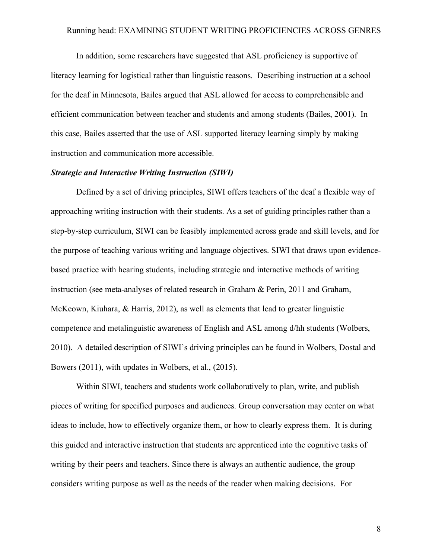In addition, some researchers have suggested that ASL proficiency is supportive of literacy learning for logistical rather than linguistic reasons. Describing instruction at a school for the deaf in Minnesota, Bailes argued that ASL allowed for access to comprehensible and efficient communication between teacher and students and among students (Bailes, 2001). In this case, Bailes asserted that the use of ASL supported literacy learning simply by making instruction and communication more accessible.

## *Strategic and Interactive Writing Instruction (SIWI)*

Defined by a set of driving principles, SIWI offers teachers of the deaf a flexible way of approaching writing instruction with their students. As a set of guiding principles rather than a step-by-step curriculum, SIWI can be feasibly implemented across grade and skill levels, and for the purpose of teaching various writing and language objectives. SIWI that draws upon evidencebased practice with hearing students, including strategic and interactive methods of writing instruction (see meta-analyses of related research in Graham & Perin, 2011 and Graham, McKeown, Kiuhara, & Harris, 2012), as well as elements that lead to greater linguistic competence and metalinguistic awareness of English and ASL among d/hh students (Wolbers, 2010). A detailed description of SIWI's driving principles can be found in Wolbers, Dostal and Bowers (2011), with updates in Wolbers, et al., (2015).

Within SIWI, teachers and students work collaboratively to plan, write, and publish pieces of writing for specified purposes and audiences. Group conversation may center on what ideas to include, how to effectively organize them, or how to clearly express them. It is during this guided and interactive instruction that students are apprenticed into the cognitive tasks of writing by their peers and teachers. Since there is always an authentic audience, the group considers writing purpose as well as the needs of the reader when making decisions. For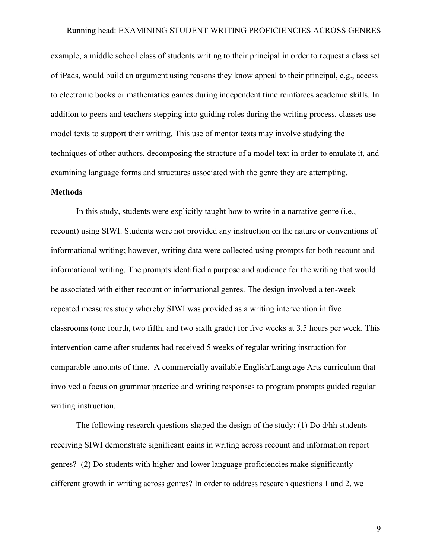example, a middle school class of students writing to their principal in order to request a class set of iPads, would build an argument using reasons they know appeal to their principal, e.g., access to electronic books or mathematics games during independent time reinforces academic skills. In addition to peers and teachers stepping into guiding roles during the writing process, classes use model texts to support their writing. This use of mentor texts may involve studying the techniques of other authors, decomposing the structure of a model text in order to emulate it, and examining language forms and structures associated with the genre they are attempting.

#### **Methods**

In this study, students were explicitly taught how to write in a narrative genre (i.e., recount) using SIWI. Students were not provided any instruction on the nature or conventions of informational writing; however, writing data were collected using prompts for both recount and informational writing. The prompts identified a purpose and audience for the writing that would be associated with either recount or informational genres. The design involved a ten-week repeated measures study whereby SIWI was provided as a writing intervention in five classrooms (one fourth, two fifth, and two sixth grade) for five weeks at 3.5 hours per week. This intervention came after students had received 5 weeks of regular writing instruction for comparable amounts of time. A commercially available English/Language Arts curriculum that involved a focus on grammar practice and writing responses to program prompts guided regular writing instruction.

The following research questions shaped the design of the study: (1) Do d/hh students receiving SIWI demonstrate significant gains in writing across recount and information report genres? (2) Do students with higher and lower language proficiencies make significantly different growth in writing across genres? In order to address research questions 1 and 2, we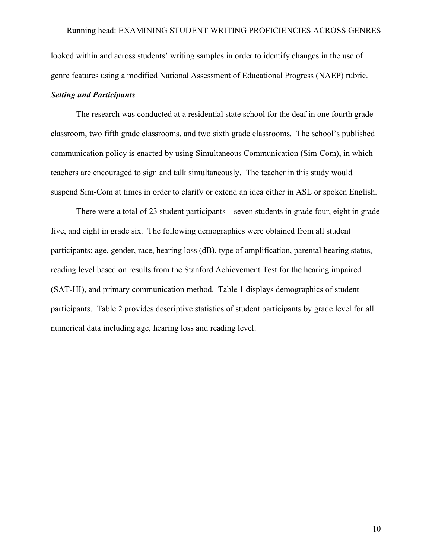looked within and across students' writing samples in order to identify changes in the use of genre features using a modified National Assessment of Educational Progress (NAEP) rubric.

## *Setting and Participants*

The research was conducted at a residential state school for the deaf in one fourth grade classroom, two fifth grade classrooms, and two sixth grade classrooms. The school's published communication policy is enacted by using Simultaneous Communication (Sim-Com), in which teachers are encouraged to sign and talk simultaneously. The teacher in this study would suspend Sim-Com at times in order to clarify or extend an idea either in ASL or spoken English.

There were a total of 23 student participants—seven students in grade four, eight in grade five, and eight in grade six. The following demographics were obtained from all student participants: age, gender, race, hearing loss (dB), type of amplification, parental hearing status, reading level based on results from the Stanford Achievement Test for the hearing impaired (SAT-HI), and primary communication method. Table 1 displays demographics of student participants. Table 2 provides descriptive statistics of student participants by grade level for all numerical data including age, hearing loss and reading level.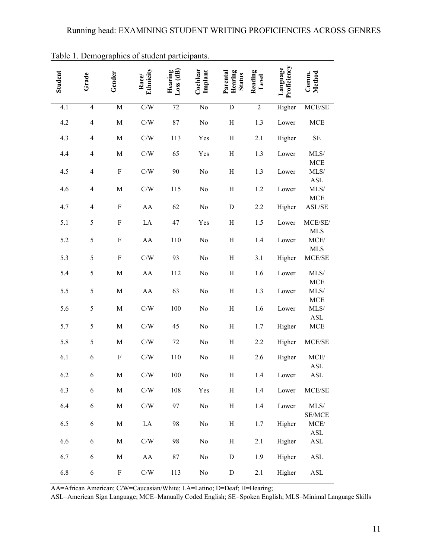| Student | Grade          | Gender       | Ethnicity<br>Race       | Hearing<br>Loss (dB) | Cochlear<br>Implant | Parental<br>Hearing<br><b>Status</b> | Reading<br>Level | Language<br>Proficiency | Comm.<br>Method                                            |
|---------|----------------|--------------|-------------------------|----------------------|---------------------|--------------------------------------|------------------|-------------------------|------------------------------------------------------------|
| 4.1     | $\overline{4}$ | M            | C/W                     | $72\,$               | $\rm No$            | ${\bf D}$                            | $\overline{c}$   | Higher                  | MCE/SE                                                     |
| 4.2     | $\overline{4}$ | $\mathbf{M}$ | C/W                     | 87                   | $\rm No$            | $\boldsymbol{\mathrm{H}}$            | 1.3              | Lower                   | $_{\mathrm{MCE}}$                                          |
| 4.3     | $\overline{4}$ | $\mathbf M$  | C/W                     | 113                  | Yes                 | $\boldsymbol{\mathrm{H}}$            | 2.1              | Higher                  | $\rm SE$                                                   |
| 4.4     | $\overline{4}$ | $\mathbf M$  | $\mathrm{C}/\mathrm{W}$ | 65                   | Yes                 | $\mathbf H$                          | 1.3              | Lower                   | $\rm{MLS} /$                                               |
|         |                |              |                         |                      |                     |                                      |                  |                         | $_{\mathrm{MCE}}$                                          |
| 4.5     | $\overline{4}$ | $\mathbf F$  | C/W                     | 90                   | $\rm No$            | $\rm H$                              | 1.3              | Lower                   | $\ensuremath{\text{MLS}}\xspace /$<br>$\operatorname{ASL}$ |
| 4.6     | $\overline{4}$ | $\mathbf M$  | C/W                     | 115                  | $\rm No$            | $\boldsymbol{\mathrm{H}}$            | 1.2              | Lower                   | $\ensuremath{\text{MLS}}\xspace /$                         |
| 4.7     | $\overline{4}$ | $\mathbf F$  | AA                      | 62                   | $\rm No$            | ${\rm D}$                            | 2.2              | Higher                  | $_{\mathrm{MCE}}$<br>ASL/SE                                |
| 5.1     | 5              | $\mathbf F$  | $\rm LA$                | 47                   | Yes                 | $\rm H$                              | 1.5              | Lower                   | MCE/SE/                                                    |
|         |                |              |                         |                      |                     |                                      |                  |                         | <b>MLS</b>                                                 |
| 5.2     | 5              | $\mathbf F$  | AA                      | 110                  | $\rm No$            | $\boldsymbol{\mathrm{H}}$            | 1.4              | Lower                   | MCE/                                                       |
| 5.3     | 5              | $\mathbf F$  | C/W                     | 93                   | $\rm No$            | $\boldsymbol{\mathrm{H}}$            | 3.1              | Higher                  | <b>MLS</b><br>MCE/SE                                       |
| 5.4     | 5              | $\mathbf M$  | AA                      | 112                  | $\rm No$            | $\boldsymbol{\mathrm{H}}$            | 1.6              | Lower                   | $\text{MLS}/$                                              |
| 5.5     | 5              | $\mathbf M$  | ${\bf AA}$              | 63                   | $\rm No$            | $\boldsymbol{\mathrm{H}}$            | 1.3              | Lower                   | MCE<br>$\text{MLS}/$                                       |
|         |                |              |                         |                      |                     |                                      |                  |                         | $_{\mathrm{MCE}}$                                          |
| 5.6     | 5              | $\mathbf M$  | C/W                     | 100                  | $\rm No$            | $\boldsymbol{\mathrm{H}}$            | 1.6              | Lower                   | $\rm{MLS} /$<br>$\operatorname{ASL}$                       |
| 5.7     | 5              | $\mathbf M$  | C/W                     | 45                   | $\rm No$            | $\rm H$                              | 1.7              | Higher                  | $_{\mathrm{MCE}}$                                          |
| 5.8     | 5              | $\mathbf M$  | $\mathrm{C}/\mathrm{W}$ | 72                   | $\rm No$            | $\, {\rm H}$                         | 2.2              | Higher                  | MCE/SE                                                     |
| 6.1     | 6              | $\mathbf F$  | C/W                     | 110                  | $\rm No$            | $\mathbf H$                          | 2.6              | Higher                  | $\operatorname{MCE}/$                                      |
| 6.2     | 6              | M            | $\mathrm{C}/\mathrm{W}$ | 100                  | No                  | $\rm H$                              | 1.4              | Lower                   | <b>ASL</b><br>$\operatorname{ASL}$                         |
| 6.3     | 6              | $\mathbf M$  | $\mathrm{C}/\mathrm{W}$ | 108                  | Yes                 | $\, {\rm H}$                         | 1.4              | Lower                   | $\sf MCE/SE$                                               |
| 6.4     | 6              | $\mathbf M$  | $\mathrm{C}/\mathrm{W}$ | 97                   | $\rm No$            | $\rm H$                              | 1.4              | Lower                   | $\text{MLS}/$                                              |
|         |                |              |                         |                      |                     |                                      |                  |                         | SE/MCE                                                     |
| 6.5     | 6              | $\mathbf M$  | $\rm LA$                | 98                   | $\rm No$            | $\rm H$                              | 1.7              | Higher                  | MCE/<br>$\operatorname{ASL}$                               |
| 6.6     | 6              | $\mathbf M$  | $\mathrm{C}/\mathrm{W}$ | 98                   | $\rm No$            | $\rm H$                              | 2.1              | Higher                  | $\operatorname{ASL}$                                       |
| 6.7     | 6              | $\mathbf M$  | AA                      | 87                   | $\rm No$            | ${\bf D}$                            | 1.9              | Higher                  | $\operatorname{ASL}$                                       |
| 6.8     | $\epsilon$     | $\mathbf F$  | $\mathrm{C}/\mathrm{W}$ | 113                  | $\rm No$            | ${\bf D}$                            | 2.1              | Higher                  | $\operatorname{ASL}$                                       |

|  | Table 1. Demographics of student participants. |  |  |  |
|--|------------------------------------------------|--|--|--|
|  |                                                |  |  |  |

AA=African American; C/W=Caucasian/White; LA=Latino; D=Deaf; H=Hearing;

ASL=American Sign Language; MCE=Manually Coded English; SE=Spoken English; MLS=Minimal Language Skills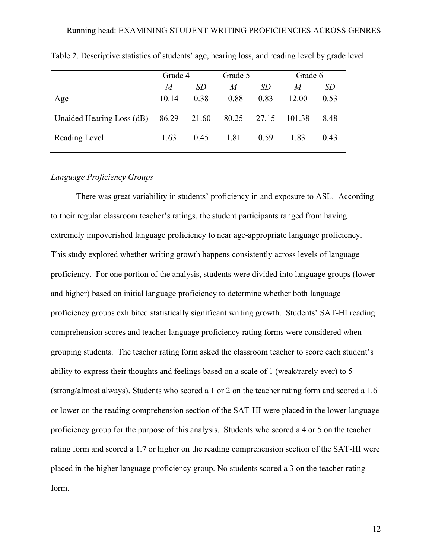|                                         | Grade 4 |      | Grade 5     |      | Grade 6 |      |
|-----------------------------------------|---------|------|-------------|------|---------|------|
|                                         | M       | SD.  | M           | SD.  | M       | SD   |
| Age                                     | 10 14   | 0.38 | 10.88       | 0.83 | 12.00   | 0.53 |
| Unaided Hearing Loss (dB) $86.29$ 21.60 |         |      | 80.25 27.15 |      | 101.38  | 848  |
| Reading Level                           | 1.63    | 0.45 | 1.81        | 0.59 | 183     | 0.43 |

Table 2. Descriptive statistics of students' age, hearing loss, and reading level by grade level.

## *Language Proficiency Groups*

There was great variability in students' proficiency in and exposure to ASL. According to their regular classroom teacher's ratings, the student participants ranged from having extremely impoverished language proficiency to near age-appropriate language proficiency. This study explored whether writing growth happens consistently across levels of language proficiency. For one portion of the analysis, students were divided into language groups (lower and higher) based on initial language proficiency to determine whether both language proficiency groups exhibited statistically significant writing growth. Students' SAT-HI reading comprehension scores and teacher language proficiency rating forms were considered when grouping students. The teacher rating form asked the classroom teacher to score each student's ability to express their thoughts and feelings based on a scale of 1 (weak/rarely ever) to 5 (strong/almost always). Students who scored a 1 or 2 on the teacher rating form and scored a 1.6 or lower on the reading comprehension section of the SAT-HI were placed in the lower language proficiency group for the purpose of this analysis. Students who scored a 4 or 5 on the teacher rating form and scored a 1.7 or higher on the reading comprehension section of the SAT-HI were placed in the higher language proficiency group. No students scored a 3 on the teacher rating form.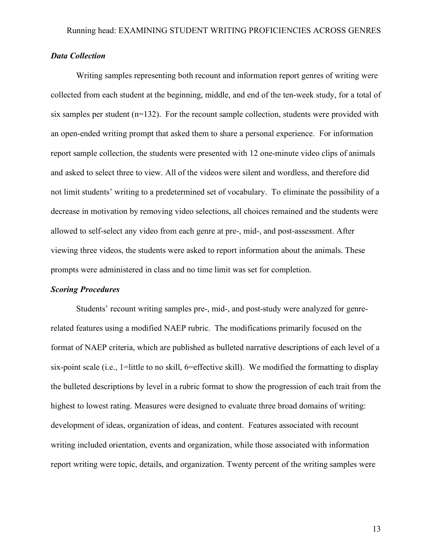## *Data Collection*

Writing samples representing both recount and information report genres of writing were collected from each student at the beginning, middle, and end of the ten-week study, for a total of six samples per student  $(n=132)$ . For the recount sample collection, students were provided with an open-ended writing prompt that asked them to share a personal experience. For information report sample collection, the students were presented with 12 one-minute video clips of animals and asked to select three to view. All of the videos were silent and wordless, and therefore did not limit students' writing to a predetermined set of vocabulary. To eliminate the possibility of a decrease in motivation by removing video selections, all choices remained and the students were allowed to self-select any video from each genre at pre-, mid-, and post-assessment. After viewing three videos, the students were asked to report information about the animals. These prompts were administered in class and no time limit was set for completion.

## *Scoring Procedures*

Students' recount writing samples pre-, mid-, and post-study were analyzed for genrerelated features using a modified NAEP rubric. The modifications primarily focused on the format of NAEP criteria, which are published as bulleted narrative descriptions of each level of a six-point scale (i.e., 1=little to no skill, 6=effective skill). We modified the formatting to display the bulleted descriptions by level in a rubric format to show the progression of each trait from the highest to lowest rating. Measures were designed to evaluate three broad domains of writing: development of ideas, organization of ideas, and content. Features associated with recount writing included orientation, events and organization, while those associated with information report writing were topic, details, and organization. Twenty percent of the writing samples were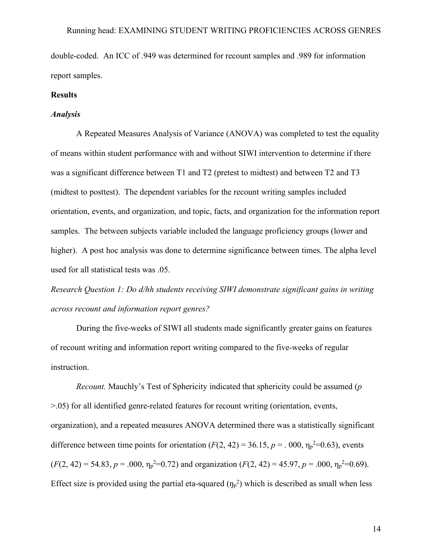double-coded. An ICC of .949 was determined for recount samples and .989 for information report samples.

## **Results**

## *Analysis*

A Repeated Measures Analysis of Variance (ANOVA) was completed to test the equality of means within student performance with and without SIWI intervention to determine if there was a significant difference between T1 and T2 (pretest to midtest) and between T2 and T3 (midtest to posttest). The dependent variables for the recount writing samples included orientation, events, and organization, and topic, facts, and organization for the information report samples. The between subjects variable included the language proficiency groups (lower and higher). A post hoc analysis was done to determine significance between times. The alpha level used for all statistical tests was .05.

*Research Question 1: Do d/hh students receiving SIWI demonstrate significant gains in writing across recount and information report genres?* 

During the five-weeks of SIWI all students made significantly greater gains on features of recount writing and information report writing compared to the five-weeks of regular instruction.

*Recount.* Mauchly's Test of Sphericity indicated that sphericity could be assumed (*p* >.05) for all identified genre-related features for recount writing (orientation, events, organization), and a repeated measures ANOVA determined there was a statistically significant difference between time points for orientation  $(F(2, 42) = 36.15, p = .000, \eta_p^2 = 0.63)$ , events  $(F(2, 42) = 54.83, p = .000, \eta_p^2 = 0.72)$  and organization  $(F(2, 42) = 45.97, p = .000, \eta_p^2 = 0.69)$ . Effect size is provided using the partial eta-squared  $(\eta_p^2)$  which is described as small when less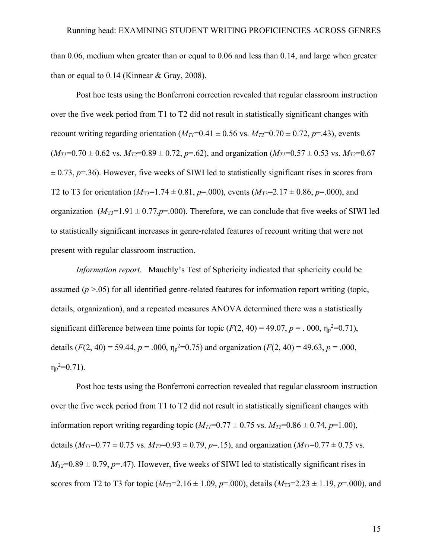than 0.06, medium when greater than or equal to 0.06 and less than 0.14, and large when greater than or equal to  $0.14$  (Kinnear & Gray, 2008).

Post hoc tests using the Bonferroni correction revealed that regular classroom instruction over the five week period from T1 to T2 did not result in statistically significant changes with recount writing regarding orientation  $(M_{T1}=0.41 \pm 0.56 \text{ vs. } M_{T2}=0.70 \pm 0.72, p=.43)$ , events  $(M_{T1}=0.70 \pm 0.62 \text{ vs. } M_{T2}=0.89 \pm 0.72, p=.62)$ , and organization  $(M_{T1}=0.57 \pm 0.53 \text{ vs. } M_{T2}=0.67$  $\pm$  0.73,  $p$ =.36). However, five weeks of SIWI led to statistically significant rises in scores from T2 to T3 for orientation ( $M_{T3}$ =1.74 ± 0.81, *p*=.000), events ( $M_{T3}$ =2.17 ± 0.86, *p*=.000), and organization  $(M_{T3}=1.91 \pm 0.77, p=.000)$ . Therefore, we can conclude that five weeks of SIWI led to statistically significant increases in genre-related features of recount writing that were not present with regular classroom instruction.

*Information report.* Mauchly's Test of Sphericity indicated that sphericity could be assumed (*p* >.05) for all identified genre-related features for information report writing (topic, details, organization), and a repeated measures ANOVA determined there was a statistically significant difference between time points for topic  $(F(2, 40) = 49.07, p = .000, \eta_p^2 = 0.71)$ , details  $(F(2, 40) = 59.44, p = .000, \eta_p^2 = 0.75)$  and organization  $(F(2, 40) = 49.63, p = .000, p = .000)$  $\eta_p^2 = 0.71$ ).

Post hoc tests using the Bonferroni correction revealed that regular classroom instruction over the five week period from T1 to T2 did not result in statistically significant changes with information report writing regarding topic  $(M_{T1}=0.77 \pm 0.75 \text{ vs. } M_{T2}=0.86 \pm 0.74, p=1.00)$ , details ( $M_{T1}$ =0.77  $\pm$  0.75 vs.  $M_{T2}$ =0.93  $\pm$  0.79,  $p$ =.15), and organization ( $M_{T1}$ =0.77  $\pm$  0.75 vs.  $M_{T2}=0.89 \pm 0.79$ ,  $p=.47$ ). However, five weeks of SIWI led to statistically significant rises in scores from T2 to T3 for topic ( $M_{T3}$ =2.16  $\pm$  1.09,  $p$ =.000), details ( $M_{T3}$ =2.23  $\pm$  1.19,  $p$ =.000), and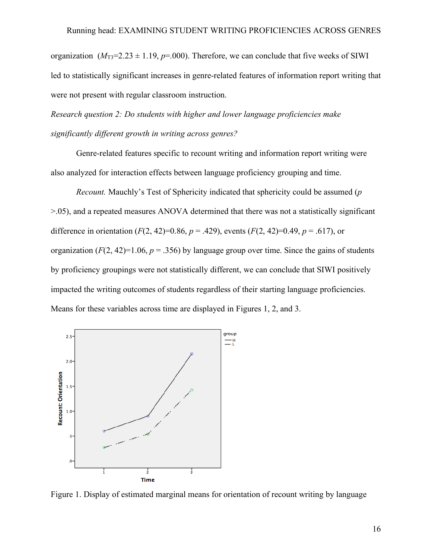organization  $(M_{T3}=2.23 \pm 1.19, p=.000)$ . Therefore, we can conclude that five weeks of SIWI led to statistically significant increases in genre-related features of information report writing that were not present with regular classroom instruction.

*Research question 2: Do students with higher and lower language proficiencies make significantly different growth in writing across genres?* 

Genre-related features specific to recount writing and information report writing were also analyzed for interaction effects between language proficiency grouping and time.

*Recount.* Mauchly's Test of Sphericity indicated that sphericity could be assumed (*p* >.05), and a repeated measures ANOVA determined that there was not a statistically significant difference in orientation  $(F(2, 42)=0.86, p = .429)$ , events  $(F(2, 42)=0.49, p = .617)$ , or organization  $(F(2, 42)=1.06, p=.356)$  by language group over time. Since the gains of students by proficiency groupings were not statistically different, we can conclude that SIWI positively impacted the writing outcomes of students regardless of their starting language proficiencies. Means for these variables across time are displayed in Figures 1, 2, and 3.



Figure 1. Display of estimated marginal means for orientation of recount writing by language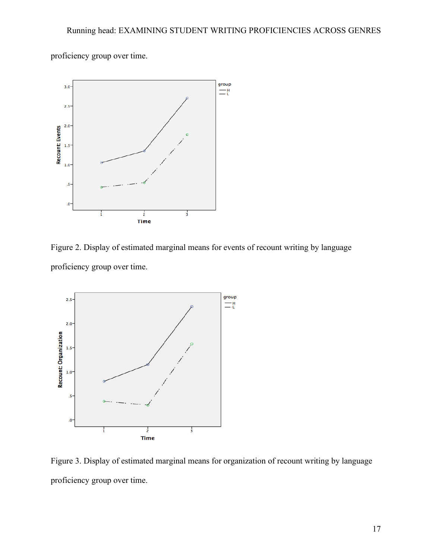proficiency group over time.



Figure 2. Display of estimated marginal means for events of recount writing by language proficiency group over time.



Figure 3. Display of estimated marginal means for organization of recount writing by language proficiency group over time.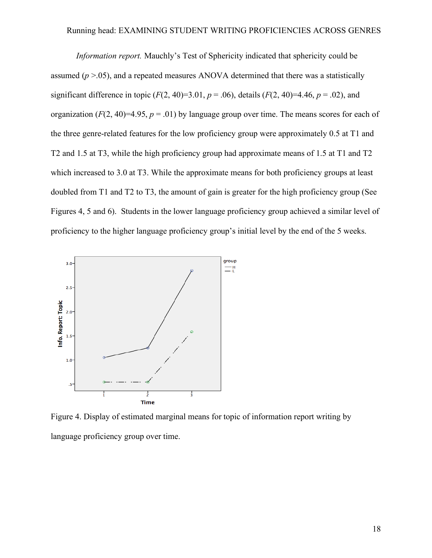*Information report.* Mauchly's Test of Sphericity indicated that sphericity could be assumed  $(p > 0.05)$ , and a repeated measures ANOVA determined that there was a statistically significant difference in topic  $(F(2, 40)=3.01, p=.06)$ , details  $(F(2, 40)=4.46, p=.02)$ , and organization  $(F(2, 40)=4.95, p = .01)$  by language group over time. The means scores for each of the three genre-related features for the low proficiency group were approximately 0.5 at T1 and T2 and 1.5 at T3, while the high proficiency group had approximate means of 1.5 at T1 and T2 which increased to 3.0 at T3. While the approximate means for both proficiency groups at least doubled from T1 and T2 to T3, the amount of gain is greater for the high proficiency group (See Figures 4, 5 and 6). Students in the lower language proficiency group achieved a similar level of proficiency to the higher language proficiency group's initial level by the end of the 5 weeks.



Figure 4. Display of estimated marginal means for topic of information report writing by language proficiency group over time.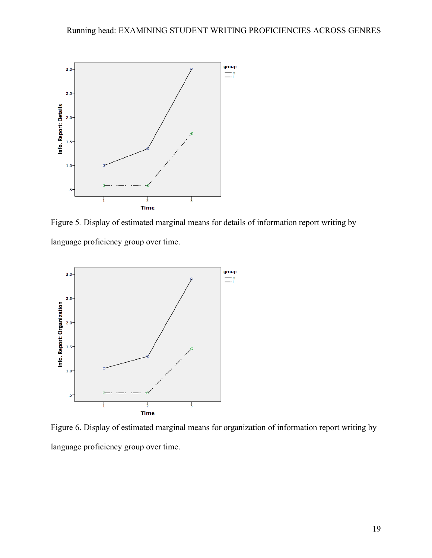

Figure 5*.* Display of estimated marginal means for details of information report writing by language proficiency group over time.



Figure 6. Display of estimated marginal means for organization of information report writing by language proficiency group over time.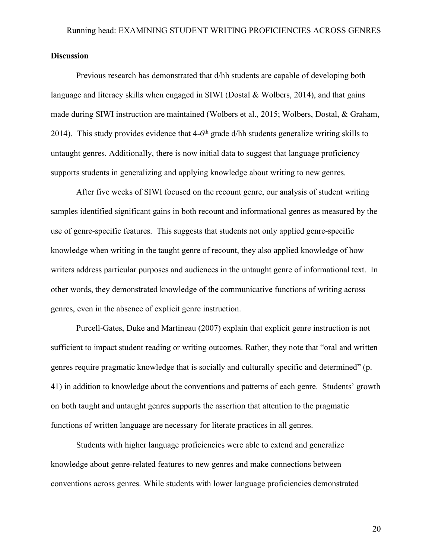## **Discussion**

Previous research has demonstrated that d/hh students are capable of developing both language and literacy skills when engaged in SIWI (Dostal & Wolbers, 2014), and that gains made during SIWI instruction are maintained (Wolbers et al., 2015; Wolbers, Dostal, & Graham, 2014). This study provides evidence that  $4-6<sup>th</sup>$  grade d/hh students generalize writing skills to untaught genres. Additionally, there is now initial data to suggest that language proficiency supports students in generalizing and applying knowledge about writing to new genres.

After five weeks of SIWI focused on the recount genre, our analysis of student writing samples identified significant gains in both recount and informational genres as measured by the use of genre-specific features. This suggests that students not only applied genre-specific knowledge when writing in the taught genre of recount, they also applied knowledge of how writers address particular purposes and audiences in the untaught genre of informational text. In other words, they demonstrated knowledge of the communicative functions of writing across genres, even in the absence of explicit genre instruction.

Purcell-Gates, Duke and Martineau (2007) explain that explicit genre instruction is not sufficient to impact student reading or writing outcomes. Rather, they note that "oral and written genres require pragmatic knowledge that is socially and culturally specific and determined" (p. 41) in addition to knowledge about the conventions and patterns of each genre. Students' growth on both taught and untaught genres supports the assertion that attention to the pragmatic functions of written language are necessary for literate practices in all genres.

Students with higher language proficiencies were able to extend and generalize knowledge about genre-related features to new genres and make connections between conventions across genres. While students with lower language proficiencies demonstrated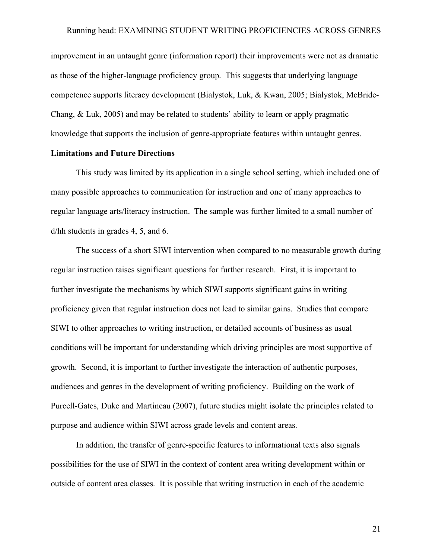improvement in an untaught genre (information report) their improvements were not as dramatic as those of the higher-language proficiency group. This suggests that underlying language competence supports literacy development (Bialystok, Luk, & Kwan, 2005; Bialystok, McBride-Chang, & Luk, 2005) and may be related to students' ability to learn or apply pragmatic knowledge that supports the inclusion of genre-appropriate features within untaught genres.

#### **Limitations and Future Directions**

This study was limited by its application in a single school setting, which included one of many possible approaches to communication for instruction and one of many approaches to regular language arts/literacy instruction. The sample was further limited to a small number of d/hh students in grades 4, 5, and 6.

The success of a short SIWI intervention when compared to no measurable growth during regular instruction raises significant questions for further research. First, it is important to further investigate the mechanisms by which SIWI supports significant gains in writing proficiency given that regular instruction does not lead to similar gains. Studies that compare SIWI to other approaches to writing instruction, or detailed accounts of business as usual conditions will be important for understanding which driving principles are most supportive of growth. Second, it is important to further investigate the interaction of authentic purposes, audiences and genres in the development of writing proficiency. Building on the work of Purcell-Gates, Duke and Martineau (2007), future studies might isolate the principles related to purpose and audience within SIWI across grade levels and content areas.

In addition, the transfer of genre-specific features to informational texts also signals possibilities for the use of SIWI in the context of content area writing development within or outside of content area classes. It is possible that writing instruction in each of the academic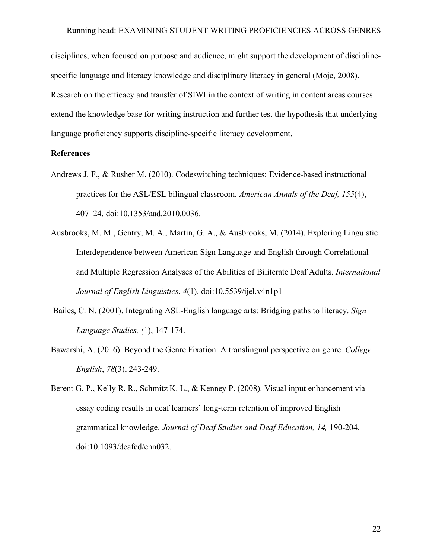disciplines, when focused on purpose and audience, might support the development of disciplinespecific language and literacy knowledge and disciplinary literacy in general (Moje, 2008). Research on the efficacy and transfer of SIWI in the context of writing in content areas courses extend the knowledge base for writing instruction and further test the hypothesis that underlying language proficiency supports discipline-specific literacy development.

## **References**

- Andrews J. F., & Rusher M. (2010). Codeswitching techniques: Evidence-based instructional practices for the ASL/ESL bilingual classroom. *American Annals of the Deaf, 155*(4), 407–24. doi:10.1353/aad.2010.0036.
- Ausbrooks, M. M., Gentry, M. A., Martin, G. A., & Ausbrooks, M. (2014). Exploring Linguistic Interdependence between American Sign Language and English through Correlational and Multiple Regression Analyses of the Abilities of Biliterate Deaf Adults. *International Journal of English Linguistics*, *4*(1). doi:10.5539/ijel.v4n1p1
- Bailes, C. N. (2001). Integrating ASL-English language arts: Bridging paths to literacy. *Sign Language Studies, (*1), 147-174.
- Bawarshi, A. (2016). Beyond the Genre Fixation: A translingual perspective on genre. *College English*, *78*(3), 243-249.
- Berent G. P., Kelly R. R., Schmitz K. L., & Kenney P. (2008). Visual input enhancement via essay coding results in deaf learners' long-term retention of improved English grammatical knowledge. *Journal of Deaf Studies and Deaf Education, 14,* 190-204. doi:10.1093/deafed/enn032.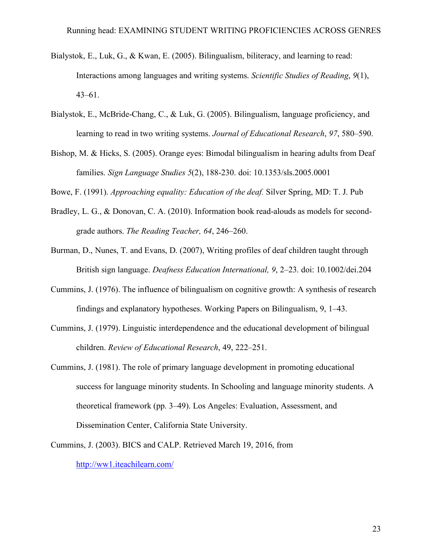- Bialystok, E., Luk, G., & Kwan, E. (2005). Bilingualism, biliteracy, and learning to read: Interactions among languages and writing systems. *Scientific Studies of Reading*, *9*(1), 43–61.
- Bialystok, E., McBride-Chang, C., & Luk, G. (2005). Bilingualism, language proficiency, and learning to read in two writing systems. *Journal of Educational Research*, *97*, 580–590.
- Bishop, M. & Hicks, S. (2005). Orange eyes: Bimodal bilingualism in hearing adults from Deaf families. *Sign Language Studies 5*(2), 188-230. doi: 10.1353/sls.2005.0001

Bowe, F. (1991). *Approaching equality: Education of the deaf.* Silver Spring, MD: T. J. Pub

- Bradley, L. G., & Donovan, C. A. (2010). Information book read-alouds as models for secondgrade authors. *The Reading Teacher, 64*, 246–260.
- Burman, D., Nunes, T. and Evans, D. (2007), Writing profiles of deaf children taught through British sign language. *Deafness Education International, 9*, 2–23. doi: 10.1002/dei.204
- Cummins, J. (1976). The influence of bilingualism on cognitive growth: A synthesis of research findings and explanatory hypotheses. Working Papers on Bilingualism, 9, 1–43.
- Cummins, J. (1979). Linguistic interdependence and the educational development of bilingual children. *Review of Educational Research*, 49, 222–251.
- Cummins, J. (1981). The role of primary language development in promoting educational success for language minority students. In Schooling and language minority students. A theoretical framework (pp. 3–49). Los Angeles: Evaluation, Assessment, and Dissemination Center, California State University.
- Cummins, J. (2003). BICS and CALP. Retrieved March 19, 2016, from http://ww1.iteachilearn.com/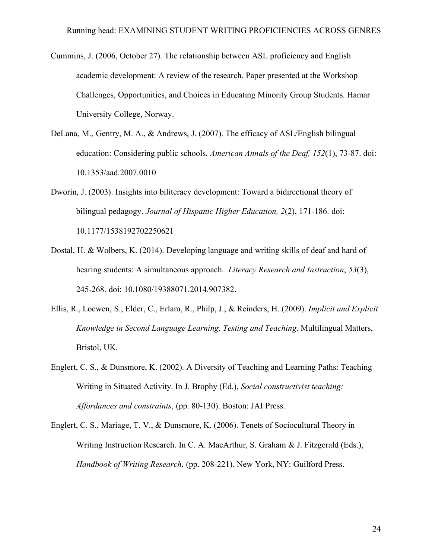- Cummins, J. (2006, October 27). The relationship between ASL proficiency and English academic development: A review of the research. Paper presented at the Workshop Challenges, Opportunities, and Choices in Educating Minority Group Students. Hamar University College, Norway.
- DeLana, M., Gentry, M. A., & Andrews, J. (2007). The efficacy of ASL/English bilingual education: Considering public schools. *American Annals of the Deaf, 152*(1), 73-87. doi: 10.1353/aad.2007.0010
- Dworin, J. (2003). Insights into biliteracy development: Toward a bidirectional theory of bilingual pedagogy. *Journal of Hispanic Higher Education, 2*(2), 171-186. doi: 10.1177/1538192702250621
- Dostal, H. & Wolbers, K. (2014). Developing language and writing skills of deaf and hard of hearing students: A simultaneous approach. *Literacy Research and Instruction*, *53*(3), 245-268. doi: 10.1080/19388071.2014.907382.
- Ellis, R., Loewen, S., Elder, C., Erlam, R., Philp, J., & Reinders, H. (2009). *Implicit and Explicit Knowledge in Second Language Learning, Testing and Teaching*. Multilingual Matters, Bristol, UK.
- Englert, C. S., & Dunsmore, K. (2002). A Diversity of Teaching and Learning Paths: Teaching Writing in Situated Activity. In J. Brophy (Ed.), *Social constructivist teaching: Affordances and constraints*, (pp. 80-130). Boston: JAI Press.
- Englert, C. S., Mariage, T. V., & Dunsmore, K. (2006). Tenets of Sociocultural Theory in Writing Instruction Research. In C. A. MacArthur, S. Graham & J. Fitzgerald (Eds.), *Handbook of Writing Research*, (pp. 208-221). New York, NY: Guilford Press.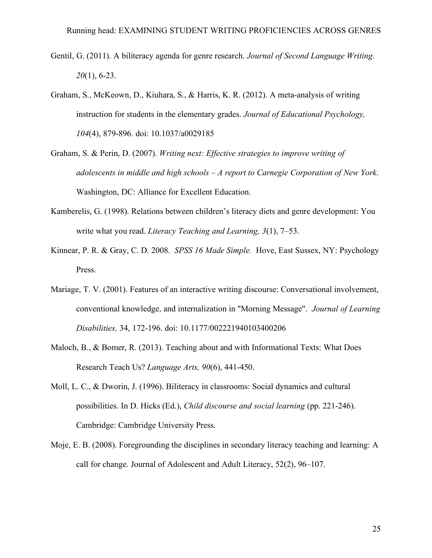- Gentil, G. (2011). A biliteracy agenda for genre research. *Journal of Second Language Writing. 20*(1), 6-23.
- Graham, S., McKeown, D., Kiuhara, S., & Harris, K. R. (2012). A meta-analysis of writing instruction for students in the elementary grades. *Journal of Educational Psychology, 104*(4), 879-896. doi: 10.1037/a0029185
- Graham, S. & Perin, D. (2007). *Writing next: Effective strategies to improve writing of adolescents in middle and high schools – A report to Carnegie Corporation of New York*. Washington, DC: Alliance for Excellent Education.
- Kamberelis, G. (1998). Relations between children's literacy diets and genre development: You write what you read. *Literacy Teaching and Learning, 3*(1), 7–53.
- Kinnear, P. R. & Gray, C. D. 2008. *SPSS 16 Made Simple.* Hove, East Sussex, NY: Psychology Press.
- Mariage, T. V. (2001). Features of an interactive writing discourse: Conversational involvement, conventional knowledge, and internalization in "Morning Message". *Journal of Learning Disabilities,* 34, 172-196. doi: 10.1177/002221940103400206
- Maloch, B., & Bomer, R. (2013). Teaching about and with Informational Texts: What Does Research Teach Us? *Language Arts, 90*(6), 441-450.
- Moll, L. C., & Dworin, J. (1996). Biliteracy in classrooms: Social dynamics and cultural possibilities. In D. Hicks (Ed.), *Child discourse and social learning* (pp. 221-246). Cambridge: Cambridge University Press.
- Moje, E. B. (2008). Foregrounding the disciplines in secondary literacy teaching and learning: A call for change. Journal of Adolescent and Adult Literacy, 52(2), 96–107.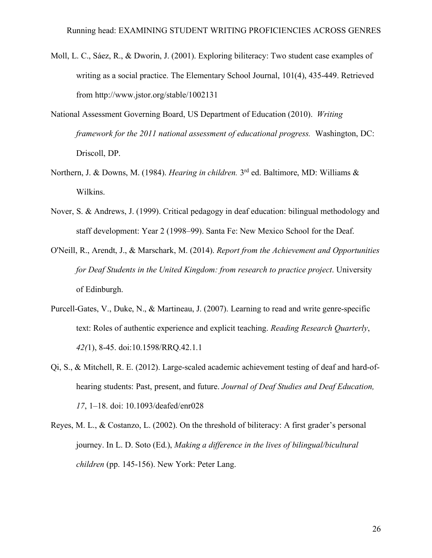- Moll, L. C., Sáez, R., & Dworin, J. (2001). Exploring biliteracy: Two student case examples of writing as a social practice. The Elementary School Journal, 101(4), 435-449. Retrieved from http://www.jstor.org/stable/1002131
- National Assessment Governing Board, US Department of Education (2010). *Writing framework for the 2011 national assessment of educational progress.* Washington, DC: Driscoll, DP.
- Northern, J. & Downs, M. (1984). *Hearing in children.* 3rd ed. Baltimore, MD: Williams & Wilkins.
- Nover, S. & Andrews, J. (1999). Critical pedagogy in deaf education: bilingual methodology and staff development: Year 2 (1998–99). Santa Fe: New Mexico School for the Deaf.
- O'Neill, R., Arendt, J., & Marschark, M. (2014). *Report from the Achievement and Opportunities for Deaf Students in the United Kingdom: from research to practice project*. University of Edinburgh.
- Purcell-Gates, V., Duke, N., & Martineau, J. (2007). Learning to read and write genre-specific text: Roles of authentic experience and explicit teaching. *Reading Research Quarterly*, *42(*1), 8-45. doi:10.1598/RRQ.42.1.1
- Qi, S., & Mitchell, R. E. (2012). Large-scaled academic achievement testing of deaf and hard-ofhearing students: Past, present, and future. *Journal of Deaf Studies and Deaf Education, 17*, 1–18. doi: 10.1093/deafed/enr028
- Reyes, M. L., & Costanzo, L. (2002). On the threshold of biliteracy: A first grader's personal journey. In L. D. Soto (Ed.), *Making a difference in the lives of bilingual/bicultural children* (pp. 145-156). New York: Peter Lang.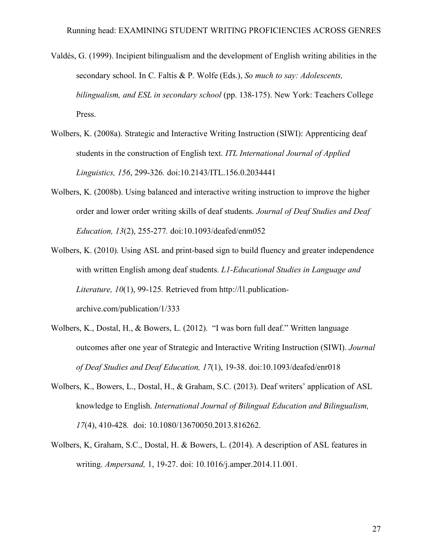- Valdés, G. (1999). Incipient bilingualism and the development of English writing abilities in the secondary school. In C. Faltis & P. Wolfe (Eds.), *So much to say: Adolescents, bilingualism, and ESL in secondary school* (pp. 138-175). New York: Teachers College Press.
- Wolbers, K. (2008a). Strategic and Interactive Writing Instruction (SIWI): Apprenticing deaf students in the construction of English text. *ITL International Journal of Applied Linguistics, 156*, 299-326*.* doi:10.2143/ITL.156.0.2034441
- Wolbers, K. (2008b). Using balanced and interactive writing instruction to improve the higher order and lower order writing skills of deaf students. *Journal of Deaf Studies and Deaf Education, 13*(2), 255-277*.* doi:10.1093/deafed/enm052
- Wolbers, K. (2010). Using ASL and print-based sign to build fluency and greater independence with written English among deaf students. *L1-Educational Studies in Language and Literature, 10*(1), 99-125*.* Retrieved from http://l1.publicationarchive.com/publication/1/333
- Wolbers, K., Dostal, H., & Bowers, L. (2012). "I was born full deaf." Written language outcomes after one year of Strategic and Interactive Writing Instruction (SIWI). *Journal of Deaf Studies and Deaf Education, 17*(1), 19-38. doi:10.1093/deafed/enr018
- Wolbers, K., Bowers, L., Dostal, H., & Graham, S.C. (2013). Deaf writers' application of ASL knowledge to English. *International Journal of Bilingual Education and Bilingualism, 17*(4), 410-428*.* doi: 10.1080/13670050.2013.816262.
- Wolbers, K, Graham, S.C., Dostal, H. & Bowers, L. (2014). A description of ASL features in writing. *Ampersand,* 1, 19-27. doi: 10.1016/j.amper.2014.11.001.